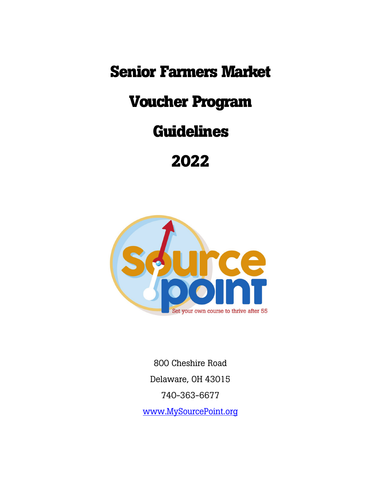**Senior Farmers Market**

# **Voucher Program**

## **Guidelines**

# **2022**



800 Cheshire Road Delaware, OH 43015 740-363-6677 [www.MySourcePoint.org](http://www.mysourcepoint.org/)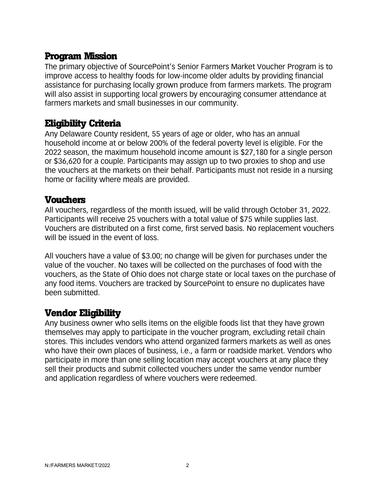#### **Program Mission**

The primary objective of SourcePoint's Senior Farmers Market Voucher Program is to improve access to healthy foods for low-income older adults by providing financial assistance for purchasing locally grown produce from farmers markets. The program will also assist in supporting local growers by encouraging consumer attendance at farmers markets and small businesses in our community.

### **Eligibility Criteria**

Any Delaware County resident, 55 years of age or older, who has an annual household income at or below 200% of the federal poverty level is eligible. For the 2022 season, the maximum household income amount is \$27,180 for a single person or \$36,620 for a couple. Participants may assign up to two proxies to shop and use the vouchers at the markets on their behalf. Participants must not reside in a nursing home or facility where meals are provided.

#### **Vouchers**

All vouchers, regardless of the month issued, will be valid through October 31, 2022. Participants will receive 25 vouchers with a total value of \$75 while supplies last. Vouchers are distributed on a first come, first served basis. No replacement vouchers will be issued in the event of loss.

All vouchers have a value of \$3.00; no change will be given for purchases under the value of the voucher. No taxes will be collected on the purchases of food with the vouchers, as the State of Ohio does not charge state or local taxes on the purchase of any food items. Vouchers are tracked by SourcePoint to ensure no duplicates have been submitted.

#### **Vendor Eligibility**

Any business owner who sells items on the eligible foods list that they have grown themselves may apply to participate in the voucher program, excluding retail chain stores. This includes vendors who attend organized farmers markets as well as ones who have their own places of business, i.e., a farm or roadside market. Vendors who participate in more than one selling location may accept vouchers at any place they sell their products and submit collected vouchers under the same vendor number and application regardless of where vouchers were redeemed.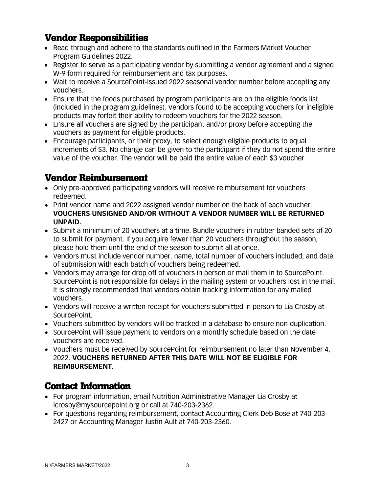### **Vendor Responsibilities**

- Read through and adhere to the standards outlined in the Farmers Market Voucher Program Guidelines 2022.
- Register to serve as a participating vendor by submitting a vendor agreement and a signed W-9 form required for reimbursement and tax purposes.
- Wait to receive a SourcePoint-issued 2022 seasonal vendor number before accepting any vouchers.
- Ensure that the foods purchased by program participants are on the eligible foods list (included in the program guidelines). Vendors found to be accepting vouchers for ineligible products may forfeit their ability to redeem vouchers for the 2022 season.
- Ensure all vouchers are signed by the participant and/or proxy before accepting the vouchers as payment for eligible products.
- Encourage participants, or their proxy, to select enough eligible products to equal increments of \$3. No change can be given to the participant if they do not spend the entire value of the voucher. The vendor will be paid the entire value of each \$3 voucher.

### **Vendor Reimbursement**

- Only pre-approved participating vendors will receive reimbursement for vouchers redeemed.
- Print vendor name and 2022 assigned vendor number on the back of each voucher. **VOUCHERS UNSIGNED AND/OR WITHOUT A VENDOR NUMBER WILL BE RETURNED UNPAID.**
- Submit a minimum of 20 vouchers at a time. Bundle vouchers in rubber banded sets of 20 to submit for payment. If you acquire fewer than 20 vouchers throughout the season, please hold them until the end of the season to submit all at once.
- Vendors must include vendor number, name, total number of vouchers included, and date of submission with each batch of vouchers being redeemed.
- Vendors may arrange for drop off of vouchers in person or mail them in to SourcePoint. SourcePoint is not responsible for delays in the mailing system or vouchers lost in the mail. It is strongly recommended that vendors obtain tracking information for any mailed vouchers.
- Vendors will receive a written receipt for vouchers submitted in person to Lia Crosby at SourcePoint.
- Vouchers submitted by vendors will be tracked in a database to ensure non-duplication.
- SourcePoint will issue payment to vendors on a monthly schedule based on the date vouchers are received.
- Vouchers must be received by SourcePoint for reimbursement no later than November 4, 2022. **VOUCHERS RETURNED AFTER THIS DATE WILL NOT BE ELIGIBLE FOR REIMBURSEMENT.**

### **Contact Information**

- For program information, email Nutrition Administrative Manager Lia Crosby at lcrosby@mysourcepoint.org or call at 740-203-2362.
- For questions regarding reimbursement, contact Accounting Clerk Deb Bose at 740-203- 2427 or Accounting Manager Justin Ault at 740-203-2360.